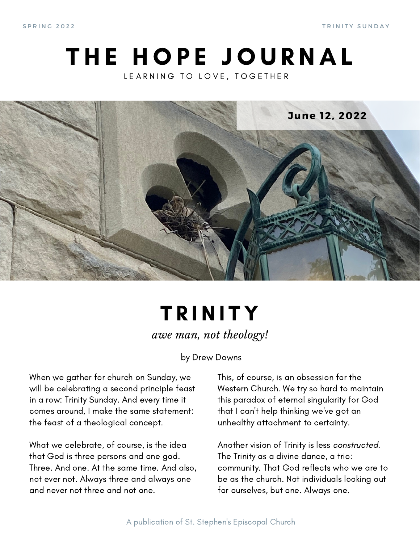S P R I N G 2 0 2 2 T R I N I T Y S U N D A Y

### THE HOPE JOURNAL LEARNING TO LOVE, TOGETHER



### **TRINITY** *awe man, not theology!*

by Drew Downs

When we gather for church on Sunday, we will be celebrating a second principle feast in a row: Trinity Sunday. And every time it comes around, I make the same statement: the feast of a theological concept.

What we celebrate, of course, is the idea that God is three persons and one god. Three. And one. At the same time. And also, not ever not. Always three and always one and never not three and not one.

This, of course, is an obsession for the Western Church. We try so hard to maintain this paradox of eternal singularity for God that I can't help thinking we've got an unhealthy attachment to certainty.

Another vision of Trinity is less constructed. The Trinity as a divine dance, a trio: community. That God reflects who we are to be as the church. Not individuals looking out for ourselves, but one. Always one.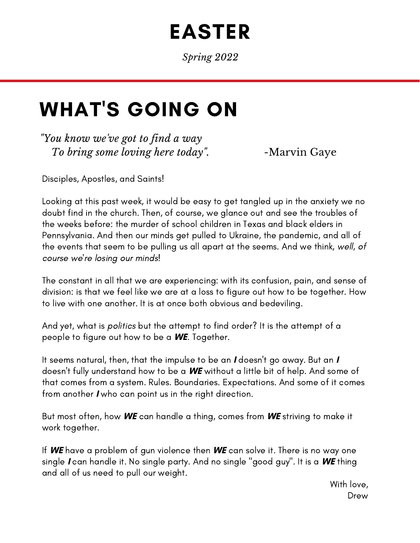# EASTER

*Spring 2022*

## WHAT'S GOING ON

*"You know we've got to find a way To bring some loving here today*". -Marvin Gaye

Disciples, Apostles, and Saints!

Looking at this past week, it would be easy to get tangled up in the anxiety we no doubt find in the church. Then, of course, we glance out and see the troubles of the weeks before: the murder of school children in Texas and black elders in Pennsylvania. And then our minds get pulled to Ukraine, the pandemic, and all of the events that seem to be pulling us all apart at the seems. And we think, well, of course we're losing our minds!

The constant in all that we are experiencing: with its confusion, pain, and sense of division: is that we feel like we are at a loss to figure out how to be together. How to live with one another. It is at once both obvious and bedeviling.

And yet, what is politics but the attempt to find order? It is the attempt of a people to figure out how to be a **WE**. Together.

It seems natural, then, that the impulse to be an **I** doesn't go away. But an **I** doesn't fully understand how to be a **WE** without a little bit of help. And some of that comes from a system. Rules. Boundaries. Expectations. And some of it comes from another **I** who can point us in the right direction.

But most often, how **WE** can handle a thing, comes from **WE** striving to make it work together.

If **WE** have a problem of gun violence then **WE** can solve it. There is no way one single **I** can handle it. No single party. And no single "good guy". It is a **WE** thing and all of us need to pull our weight.

> With love, Drew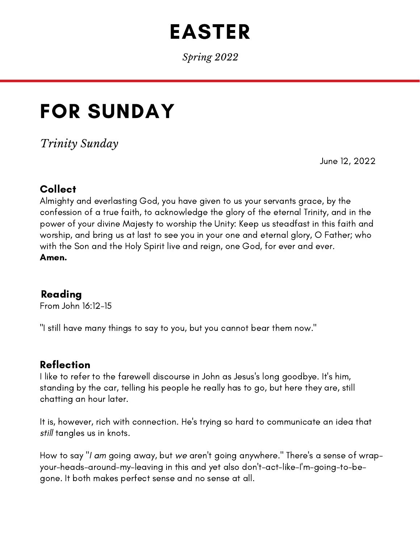# EASTER

*Spring 2022*

## FOR SUNDAY

*Trinity Sunday*

June 12, 2022

### Collect

Almighty and everlasting God, you have given to us your servants grace, by the confession of a true faith, to acknowledge the glory of the eternal Trinity, and in the power of your divine Majesty to worship the Unity: Keep us steadfast in this faith and worship, and bring us at last to see you in your one and eternal glory, O Father; who with the Son and the Holy Spirit live and reign, one God, for ever and ever. Amen.

#### Reading

From John 16:12-15

"I still have many things to say to you, but you cannot bear them now."

#### Reflection

I like to refer to the farewell discourse in John as Jesus's long goodbye. It's him, standing by the car, telling his people he really has to go, but here they are, still chatting an hour later.

It is, however, rich with connection. He's trying so hard to communicate an idea that still tangles us in knots.

How to say "I am going away, but we aren't going anywhere." There's a sense of wrapyour-heads-around-my-leaving in this and yet also don't-act-like-I'm-going-to-begone. It both makes perfect sense and no sense at all.